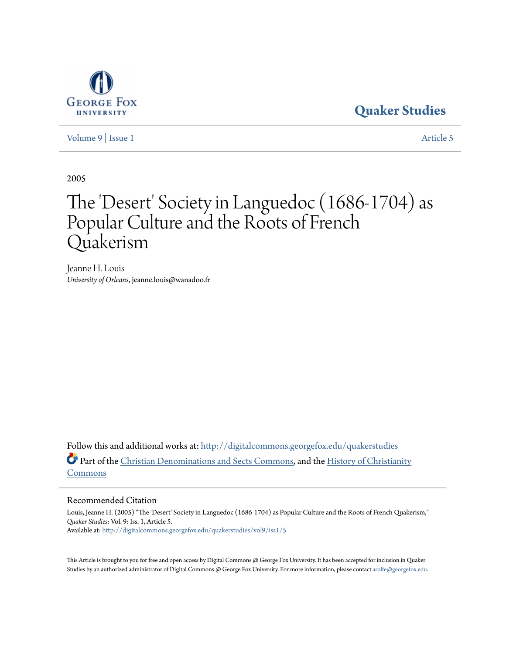

## **[Quaker Studies](http://digitalcommons.georgefox.edu/quakerstudies?utm_source=digitalcommons.georgefox.edu%2Fquakerstudies%2Fvol9%2Fiss1%2F5&utm_medium=PDF&utm_campaign=PDFCoverPages)**

[Volume 9](http://digitalcommons.georgefox.edu/quakerstudies/vol9?utm_source=digitalcommons.georgefox.edu%2Fquakerstudies%2Fvol9%2Fiss1%2F5&utm_medium=PDF&utm_campaign=PDFCoverPages) | [Issue 1](http://digitalcommons.georgefox.edu/quakerstudies/vol9/iss1?utm_source=digitalcommons.georgefox.edu%2Fquakerstudies%2Fvol9%2Fiss1%2F5&utm_medium=PDF&utm_campaign=PDFCoverPages) [Article 5](http://digitalcommons.georgefox.edu/quakerstudies/vol9/iss1/5?utm_source=digitalcommons.georgefox.edu%2Fquakerstudies%2Fvol9%2Fiss1%2F5&utm_medium=PDF&utm_campaign=PDFCoverPages)

2005

# The 'Desert' Society in Languedoc (1686-1704) as Popular Culture and the Roots of French Quakerism

Jeanne H. Louis *University of Orleans*, jeanne.louis@wanadoo.fr

Follow this and additional works at: [http://digitalcommons.georgefox.edu/quakerstudies](http://digitalcommons.georgefox.edu/quakerstudies?utm_source=digitalcommons.georgefox.edu%2Fquakerstudies%2Fvol9%2Fiss1%2F5&utm_medium=PDF&utm_campaign=PDFCoverPages) Part of the [Christian Denominations and Sects Commons](http://network.bepress.com/hgg/discipline/1184?utm_source=digitalcommons.georgefox.edu%2Fquakerstudies%2Fvol9%2Fiss1%2F5&utm_medium=PDF&utm_campaign=PDFCoverPages), and the [History of Christianity](http://network.bepress.com/hgg/discipline/1182?utm_source=digitalcommons.georgefox.edu%2Fquakerstudies%2Fvol9%2Fiss1%2F5&utm_medium=PDF&utm_campaign=PDFCoverPages) [Commons](http://network.bepress.com/hgg/discipline/1182?utm_source=digitalcommons.georgefox.edu%2Fquakerstudies%2Fvol9%2Fiss1%2F5&utm_medium=PDF&utm_campaign=PDFCoverPages)

## Recommended Citation

Louis, Jeanne H. (2005) "The 'Desert' Society in Languedoc (1686-1704) as Popular Culture and the Roots of French Quakerism," *Quaker Studies*: Vol. 9: Iss. 1, Article 5. Available at: [http://digitalcommons.georgefox.edu/quakerstudies/vol9/iss1/5](http://digitalcommons.georgefox.edu/quakerstudies/vol9/iss1/5?utm_source=digitalcommons.georgefox.edu%2Fquakerstudies%2Fvol9%2Fiss1%2F5&utm_medium=PDF&utm_campaign=PDFCoverPages)

This Article is brought to you for free and open access by Digital Commons @ George Fox University. It has been accepted for inclusion in Quaker Studies by an authorized administrator of Digital Commons @ George Fox University. For more information, please contact [arolfe@georgefox.edu.](mailto:arolfe@georgefox.edu)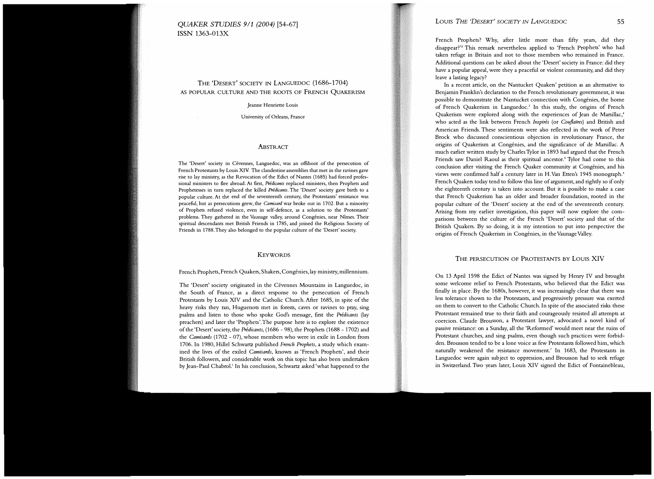## QUAKER STUDIES 911 (2004) [54-67] ISSN 1363-013X

## THE 'DESERT' SOCIETY IN LANGUEDOC (1686-1704) AS POPULAR CULTURE AND THE ROOTS OF FRENCH QUAKERISM

Jeanne Henriette Louis

University of Orleans, France

#### ABSTRACT

The 'Desert' society in Cévennes, Languedoc, was an offshoot of the persecution of French Protestants by Louis XIV. The clandestine assemblies that met in the ravines gave rise to lay ministry, as the Revocation of the Edict of Nantes (1685) had forced professional ministers to flee abroad. At first, Predicants replaced ministers, then Prophets and Prophetesses in turn replaced the killed Prédicants. The 'Desert' society gave birth to a popular culture. At the end of the seventeenth century, the Protestants' resistance was peaceful, but as persecutions grew, the Camisard war broke out in 1702. But a minority of Prophets refused violence, even in self-defence, as a solution to the Protestants' problems. They gathered in the Vaunage valley, around Congénies, near Nîmes. Their spiritual descendants met British Friends in 1785, and joined the Religious Society of Friends in 1788. They also belonged to the popular culture of the 'Desert' society.

#### **KEYWORDS**

#### French Prophets, French Quakers, Shakers, Congenies, lay ministry, millennium.

The 'Desert' society originated in the Cévennes Mountains in Languedoc, in the South of France, as a direct response to the persecution of French Protestants by Louis XIV and the Catholic Church. After 1685, in spite of the heavy risks they ran, Huguenots met in forests, caves or ravines to pray, sing psalms and listen to those who spoke God's message, first the Prédicants (lay preachers) and later the 'Prophets'. The purpose here is to explore the existence of the 'Desert' society, the Prédicants, (1686 - 98), the Prophets (1688 - 1702) and the *Camisards* (1702 - 07), whose members who were in exile in London from 1706. In 1980, Hillel Schwartz published French Prophets, a study which examined the lives of the exiled Camisards, known as 'French Prophets', and their British followers, and considerable work on this topic has also been undertaken by Jean-Paul Chabrol.<sup>1</sup> In his conclusion, Schwartz asked 'what happened to the

## LOUIS THE 'DESERT' SOCIETY IN LANGUEDOC 55

French Prophets? Why, after little more than fifty years, did they disappear?'2 This remark nevertheless applied to 'French Prophets' who had taken refuge in Britain and not to those members who remained in France. Additional questions can be asked about the 'Desert' society in France: did they have a popular appeal, were they a peaceful or violent community, and did they leave a lasting legacy?

In a recent article, on the Nantucket Quakers' petition as an alternative to Benjamin Franklin's declaration to the French revolutionary government, it was possible to demonstrate the Nantucket connection with Congénies, the home of French Quakerism in Languedoc.<sup>3</sup> In this study, the origins of French Quakerism were explored along with the experiences of Jean de Marsillac,' who acted as the link between French Inspirés (or Couflaires) and British and American Friends. These sentiments were also reflected in the work of Peter Brock who discussed conscientious objection in revolutionary France, the origins of Quakerism at Congénies, and the significance of de Marsillac. A much earlier written study by Charles Tylor in 1893 had argued that the French Friends saw Daniel Raoul as their spiritual ancestor.<sup>5</sup> Tylor had come to this conclusion after visiting the French Quaker community at Congenies, and his views were confirmed half a century later in H. Van Etten's 1945 monograph.<sup>6</sup> French Quakers today tend to follow this line of argument, and rightly so if only the eighteenth century is taken into account. But it is possible to make a case that French Quakerism has an older and broader foundation, rooted in the popular culture of the 'Desert' society at the end of the seventeenth century. Arising from my earlier investigation, this paper will now explore the comparisons between the culture of the French 'Desert' society and that of the British Quakers. By so doing, it is my intention to put into perspective the origins of French Quakerism in Congenies, in the Vaunage Valley.

## THE PERSECUTION OF PROTESTANTS BY LOUIS XIV

On 13 April 1598 the Edict of Nantes was signed by Henry IV and brought some welcome relief to French Protestants, who believed that the Edict was finally in place. By the 1680s, however, it was increasingly clear that there was less tolerance shown to the Protestants, and progressively pressure was exerted on them to convert to the Catholic Church. In spite of the associated risks these Protestant remained true to their faith and courageously resisted all attempts at coercion. Claude Brousson, a Protestant lawyer, advocated a novel kind of passive resistance: on a Sunday, all the 'Reformed' would meet near the ruins of Protestant churches, and sing psalms, even though such practices were forbidden. Brousson tended to be a lone voice as few Protestants followed him, which naturally weakened the resistance movement.' In 1683, the Protestants in Languedoc were again subject to oppression, and Brousson had to seek refuge in Switzerland. Two years later, Louis XIV signed the Edict of Fontainebleau,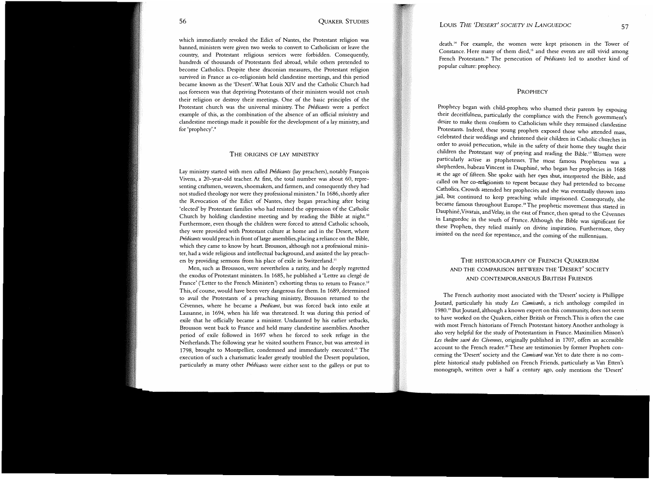which immediately revoked the Edict of Nantes, the Protestant religion was banned, ministers were given two weeks to convert to Catholicism or leave the country, and Protestant religious services were forbidden. Consequently, hundreds of thousands of Protestants fled abroad, while others pretended to become Catholics. Despite these draconian measures, the Protestant religion survived in France as co-religionists held clandestine meetings, and this period became known as the 'Desert'. What Louis XIV and the Catholic Church had not foreseen was that depriving Protestants of their ministers would not crush their religion or destroy their meetings. One of the basic principles of the Protestant church was the universal ministry. The Prédicants were a perfect example of this, as the combination of the absence of an official ministry and clandestine meetings made it possible for the development of a lay mimstry, and for 'prophecy'.<sup>8</sup>

#### THE ORIGINS OF LAY MINISTRY

Lay ministry started with men called Prédicants (lay preachers), notably François Vivens, a 20-year-old teacher. At first, the total number was about 60, representing craftsmen, weavers, shoemakers, and farmers, and consequently they had not studied theology nor were they professional ministers.<sup>9</sup> In 1686, shortly after the Revocation of the Edict of Nantes, they began preaching after being 'elected' by Protestant families who had resisted the oppression of the Catholic<br>Church hy halding also desting masting and hy mading the Pible at night <sup>10</sup> Church by holding clandestine meeting and by reading the Bible at night.<sup>10</sup> Furthermore, even though the children were forced to attend Catholic schools, they were provided with Protestant culture at home and in the Desert, where Prédicants would preach in front of large assemblies, placing a reliance on the Bible, which they came to know by heart. Brousson, although not a professional minister, had a wide religious and intellectual background, and assisted the lay preachers by providing sermons from his place of exile in Switzerland.11

Men, such as Brousson, were nevertheless a rarity, and he deeply regretted the exodus of Protestant ministers. In 1685, he published a 'Lettre au clergé de France' ('Letter to the French Ministers') exhorting them to return to France.<sup>12</sup> This, of course, would have been very dangerous for them. In 1689, determined to avail the Protestants of a preaching ministry, Brousson returned to the Cévennes, where he became a Predicant, but was forced back into exile at Lausanne, in 1694, when his life was threatened. It was during this period of exile that he officially became a minister. Undaunted by his earlier setbacks, Brousson went back to France and held many clandestine assemblies. Another period of exile followed in 1697 when he forced to seek refuge in the Netherlands. The following year he visited southern France, but was arrested in 1798, brought to Montpellier, condemned and immediately executed.<sup>13</sup> The execution of such a charismatic leader greatly troubled the Desert population, particularly as many other Prédicants were either sent to the galleys or put to

death. 14 For example, the women were kept prisoners in the Tower of Constance. Here many of them died,<sup>15</sup> and these events are still vivid among French Protestants.<sup>16</sup> The persecution of Prédicants led to another kind of popular culture: prophecy.

#### **PROPHECY**

Prophecy began with child-prophets who shamed their parents by exposing their deceitfulness, particularly the compliance with the French government's desire to make them conform to Catholicism while they remained clandestine Protestants. Indeed, these young prophets exposed those who attended mass, celebrated their weddings and christened their children in Catholic churches in order to avoid persecution, while in the safety of their home they taught their children the Protestant way of praying and reading the Bible. 17 Women were particularly active as prophetesses. The most famous Prophetess was a shepherdess, Isabeau Vincent in Dauphine, who began her prophecies in 1688 at the age of fifteen. She spoke with her eyes shut, interpreted the Bible, and called on her co-religionists to repent because they had pretended to become Catholics. Crowds attended her prophecies and she was eventually thrown into jail, but continued to keep preaching while imprisoned. Consequently, she 'became famous throughout Europe.'" The prophetic movement thus started in Dauphine,Vivarais, andVelay, in the east of France, then spread to the Cevennes in Languedoc in the south of France. Although the Bible was significant for these Prophets, they relied mainly on divine inspiration. Furthermore, they insisted on the need for repentance, and the coming of the millennium.

## THE HISTORIOGRAPHY OF FRENCH QUAKERISM AND THE COMPARISON BETWEEN THE 'DESERT' SOCIETY AND CONTEMPORANEOUS BRITISH FRIENDS

The French authority most associated with the 'Desert' society is Phillippe Joutard, particularly his study Les Camisards, a rich anthology compiled in 1980.19 But Joutard, although a known expert on this community, does not seem to have worked on the Quakers, either British or French. This is often the case with most French historians of French Protestant history. Another anthology is also very helpful for the study of Protestantism in France. Maximilien Misson's Les theâtre sacré des Cévennes, originally published in 1707, offers an accessible account to the French reader.<sup>20</sup> These are testimonies by former Prophets concerning the 'Desert' society and the Camisard war. Yet to date there is no complete historical study published on French Friends, particularly as Van Etten's monograph, written over a half a century ago, only mentions the 'Desert'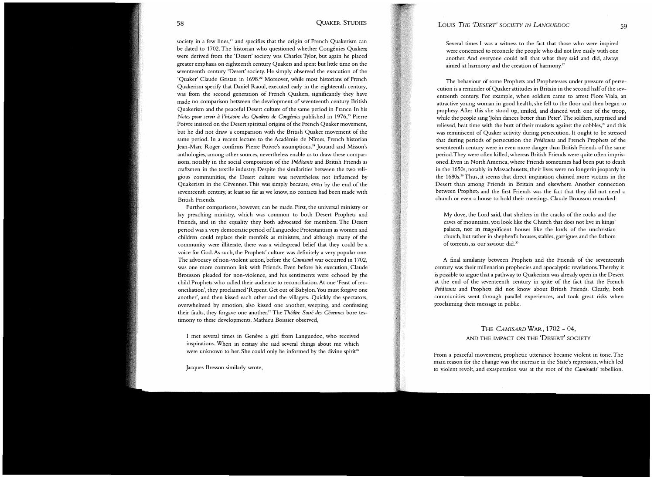society in a few lines,<sup>21</sup> and specifies that the origin of French Quakerism can be dated to 1702. The historian who questioned whether Congénies Quakers were derived from the 'Desert' society was Charles Tylor, but again he placed greater emphasis on eighteenth century Quakers and spent but little time on the seventeenth century 'Desert' society. He simply observed the execution of the 'Quaker' Claude Gristan in 1698.<sup>22</sup> Moreover, while most historians of French Quakerism specify that Daniel Raoul, executed early in the eighteenth century, was from the second generation of French Quakers, significantly they have made no comparison between the development of seventeenth century British Quakerism and the peaceful Desert culture of the same period in France. In his Notes pour servir à l'histoire des Quakers de Congénies published in 1976,<sup>23</sup> Pierre Poivre insisted on the Desert spiritual origins of the French Quaker movement, but he did not draw a comparison with the British Quaker movement of the same period. In a recent lecture to the Academie de Nimes, French historian Jean-Marc Roger confirms Pierre Poivre's assumptions.<sup>24</sup> Joutard and Misson's anthologies, among other sources, nevertheless enable us to draw these comparisons, notably in the social composition of the Prédicants and British Friends as craftsmen in the textile industry. Despite the similarities between the two religious communities, the Desert culture was nevertheless not influenced by Quakerism in the Cévennes. This was simply because, even by the end of the seventeenth century, at least so far as we know, no contacts had been made with British Friends.

Further comparisons, however, can be made. First, the universal ministry or lay preaching ministry, which was common to both Desert Prophets and Friends, and in the equality they both advocated for members. The Desert period was a very democratic period of Languedoc Protestantism as women and children could replace their menfolk as ministers, and although many of the community were illiterate, there was a widespread belief that they could be a voice for God. As such, the Prophets' culture was definitely a very popular one. The advocacy of non-violent action, before the Camisard war occurred in 1702, was one more common link with Friends. Even before his execution, Claude Brousson pleaded for non-violence, and his sentiments were echoed by the child Prophets who called their audience to reconciliation. At one 'Feast of reconciliation', they proclaimed 'Repent. Get out of Babylon.You must forgive one another', and then kissed each other and the villagers. Quickly the spectators, overwhelmed by emotion, also kissed one another, weeping, and confessing their faults, they forgave one another.<sup>25</sup> The Théâtre Sacré des Cévennes bore testimony to these developments. Mathieu Boissier observed,

I met several times in Genève a girl from Languedoc, who received inspirations. When in ecstasy she said several things about me which were unknown to her. She could only be informed by the divine spirit<sup>26</sup>

Jacques Bresson similarly wrote,

Several times I was a witness to the fact that those who were inspired were concerned to reconcile the people who did not live easily with one another. And everyone could tell that what they said and did, always aimed at harmony and the creation of harmony. $^{27}$ 

The behaviour of some Prophets and Prophetesses under pressure of persecution is a reminder of Quaker attitudes in Britain in the second half of the seventeenth century. For example, when soldiers came to arrest Flore Viala, an attractive young woman in good health, she fell to the floor and then began to prophesy. After this she stood up, smiled, and danced with one of the troop, while the people sang 'John dances better than Peter'. The soldiers, surprised and relieved, beat time with the butt of their muskets against the cobbles,<sup>28</sup> and this was reminiscent of Quaker activity during persecution. It ought to be stressed that during periods of persecution the Prédicants and French Prophets of the seventeenth century were in even more danger than British Friends of the same period. They were often killed, whereas British Friends were quite often imprisoned. Even in North America, where Friends sometimes had been put to death in the 1650s, notably in Massachusetts, their lives were no longerin jeopardy in the 1680s.29 Thus, it seems that direct inspiration claimed more victims in the Desert than among Friends in Britain and elsewhere. Another connection between Prophets and the first Friends was the fact that they did not need a church or even a house to hold their meetings. Claude Brousson remarked:

My dove, the Lord said, that shelters in the cracks of the rocks and the caves of mountains, you look like the Church that does not live in kings' palaces, nor in magnificent houses like the lords of the unchristian church, but rather in shepherd's houses, stables, garrigues and the fathom of torrents, as our saviour did.<sup>30</sup>

A final similarity between Prophets and the Friends of the seventeenth century was their millenarian prophecies and apocalyptic revelations. Thereby it is possible to argue that a pathway to Quakerism was already open in the Desert at the end of the seventeenth century in spite of the fact that the French Prédicants and Prophets did not know about British Friends. Clearly, both communities went through parallel experiences, and took great risks when proclaiming their message in public.

## THE CAMISARD WAR, 1702 - 04, AND THE IMPACT ON THE 'DESERT' SOCIETY

From a peaceful movement, prophetic utterance became violent in tone. The main reason for the change was the increase in the State's repression, which led to violent revolt, and exasperation was at the root of the Camisards' rebellion.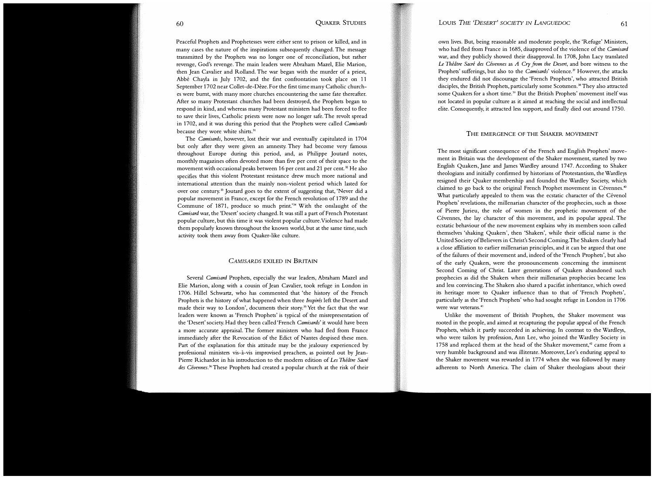Peaceful Prophets and Prophetesses were either sent to prison or killed, and in many cases the nature of the inspirations subsequently changed. The message transmitted by the Prophets was no longer one of reconciliation, but rather revenge, God's revenge. The main leaders were Abraham Maze!, Elie Marion, then Jean Cavalier and Rolland. The war began with the murder of a priest, Abbe Chayla in July 1702, and the first confrontation took place on 11 September 1702 near Collet-de-Deze. For the first time many Catholic churches were burnt, with many more churches encountering the same fate thereafter. After so many Protestant churches had been destroyed, the Prophets began to respond in kind, and whereas many Protestant ministers had been forced to flee to save their lives, Catholic priests were now no longer safe. The revolt spread in 1702, and it was during this period that the Prophets were called Camisards because they wore white shirts.<sup>31</sup>

The Camisards, however, lost their war and eventually capitulated in 1704 but only after they were given an amnesty. They had become very famous throughout Europe during this period, and, as Philippe Joutard notes, monthly magazines often devoted more than five per cent of their space to the movement with occasional peaks between 16 per cent and 21 per cent.<sup>32</sup> He also specifies that this violent Protestant resistance drew much more national and international attention than the mainly non-violent period which lasted for over one century.<sup>33</sup> Joutard goes to the extent of suggesting that, 'Never did a popular movement in France, except for the French revolution of 1789 and the Commune of 1871, produce so much print.'34 W ith the onslaught of the Camisard war, the 'Desert' society changed. It was still a part of French Protestant popular culture, but this time it was violent popular culture. Violence had made them popularly known throughout the known world, but at the same time, such activity took them away from Quaker-like culture.

#### CAMISARDS EXILED IN BRITAIN

Several Camisard Prophets, especially the war leaders, Abraham Mazel and Elie Marion, along with a cousin of Jean Cavalier, took refuge in London in 1706. Hillel Schwartz, who has commented that 'the history of the French Prophets is the history of what happened when three Inspirés left the Desert and made their way to London', documents their story.<sup>35</sup> Yet the fact that the war leaders were known as 'French Prophets' is typical of the misrepresentation of the 'Desert' society. Had they been called 'French Camisards' it would have been a more accurate appraisal. The former ministers who had fled from France immediately after the Revocation of the Edict of Nantes despised these men. Part of the explanation for this attitude may be the jealousy experienced by professional ministers vis-a-vis improvised preachers, as pointed out by Jean-Pierre Richardot in his introduction to the modern edition of Les Théâtre Sacré des Cévennes.<sup>36</sup> These Prophets had created a popular church at the risk of their

own lives. But, being reasonable and moderate people, the 'Refuge' Ministers, who had fled from France in 1685, disapproved of the violence of the Camisard war, and they publicly showed their disapproval. In 1708, John Lacy translated Le Théâtre Sacré des Cévennes as A Cry from the Desert, and bore witness to the Prophets' sufferings, but also to the *Camisards'* violence.<sup>37</sup> However, the attacks they endured did not discourage the 'French Prophets', who attracted British disciples, the British Prophets, particularly some Scotsmen.<sup>38</sup> They also attracted some Quakers for a short time.<sup>39</sup> But the British Prophets' movement itself was not located in popular culture as it aimed at reaching the social and intellectual elite. Consequently, it attracted less support, and finally died out around 1750.

## THE EMERGENCE OF THE SHAKER MOVEMENT

The most significant consequence of the French and English Prophets' movement in Britain was the development of the Shaker movement, started by two English Quakers, Jane and James Wardley around 1747. According to Shaker theologians and initially confirmed by historians of Protestantism, the Wardleys resigned their Quaker membership and founded the Wardley Society, which claimed to go back to the original French Prophet movement in Cévennes.<sup>40</sup> What particularly appealed to them was the ecstatic character of the Cévenol Prophets' revelations, the millenarian character of the prophecies, such as those of Pierre Jurieu, the role of women in the prophetic movement of the Cévennes, the lay character of this movement, and its popular appeal. The ecstatic behaviour of the new movement explains why its members soon called themselves 'shaking Quakers', then 'Shakers', while their official name is the United Society of Believers in Christ's Second Coming. The Shakers clearly had a close affiliation to earlier millenarian principles, and it can be argued that one of the failures of their movement and, indeed of the 'French Prophets', but also of the early Quakers, were the pronouncements concerning the imminent Second Coming of Christ. Later generations of Quakers abandoned such prophecies as did the Shakers when their millenarian prophecies became less and less convincing. The Shakers also shared a pacifist inheritance, which owed its heritage more to Quaker influence than to that of 'French Prophets', particularly as the 'French Prophets' who had sought refuge in London in 1706 were war veterans.<sup>41</sup>

Unlike the movement of British Prophets, the Shaker movement was rooted in the people, and aimed at recapturing the popular appeal of the French Prophets, which it partly succeeded in achieving. In contrast to the Wardleys, who were tailors by profession, Ann Lee, who joined the Wardley Society in 1758 and replaced them at the head of the Shaker movement, $42$  came from a very humble background and was illiterate. Moreover, Lee's enduring appeal to the Shaker movement was rewarded in 1774 when she was followed by many adherents to North America. The claim of Shaker theologians about their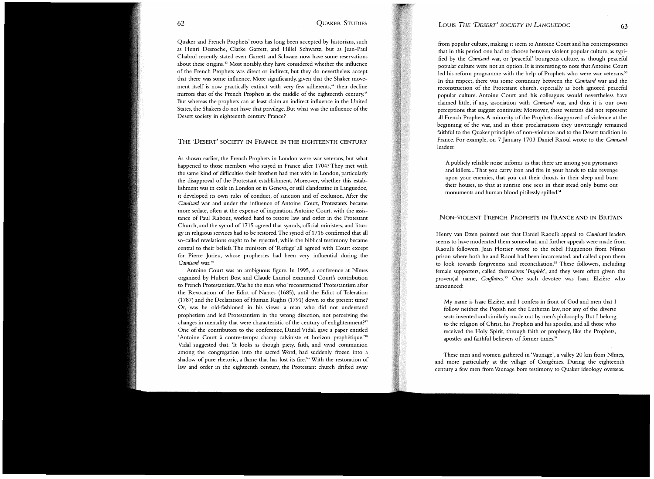Quaker and French Prophets' roots has long been accepted by historians, such as Henri Desroche, Clarke Garrett, and Hillel Schwartz, but as Jean-Paul Chabrol recently stated even Garrett and Schwarz now have some reservations about these origins.<sup>43</sup> Most notably, they have considered whether the influence of the French Prophets was direct or indirect, but they do nevertheless accept that there was some influence. More significantly, given that the Shaker movement itself is now practically extinct with very few adherents,<sup>44</sup> their decline mirrors that of the French Prophets in the middle of the eighteenth century." But whereas the prophets can at least claim an indirect influence in the United States, the Shakers do not have that privilege. But what was the influence of the Desert society in eighteenth century France?

#### THE 'DESERT' SOCIETY IN FRANCE IN THE EIGHTEENTH CENTURY

As shown earlier, the French Prophets in London were war veterans, but what happened to those members who stayed in France after 1704? They met with the same kind of difficulties their brothers had met with in London, particularly the disapproval of the Protestant establishment. Moreover, whether this establishment was in exile in London or in Geneva, or still clandestine in Languedoc, it developed its own rules of conduct, of sanction and of exclusion. After the Camisard war and under the influence of Antoine Court, Protestants became more sedate, often at the expense of inspiration. Antoine Court, with the assistance of Paul Rabout, worked hard to restore law and order in the Protestant Church, and the synod of 1715 agreed that synods, official ministers, and liturgy in religious services had to be restored. The synod of 1716 confirmed that all so-called revelations ought to be rejected, while the biblical testimony became central to their beliefs. The ministers of 'Refuge' all agreed with Court except for Pierre Jurieu, whose prophecies had been very influential during the Camisard war.<sup>46</sup>

Antoine Court was an ambiguous figure. In 1995, a conference at Nimes organised by Hubert Bost and Claude Lauriol examined Court's contribution to French Protestantism. Was he the man who 'reconstructed' Protestantism after the Revocation of the Edict of Nantes (1685), until the Edict of Toleration (1787) and the Declaration of Human Rights (1791) down to the present time? Or, was he old-fashioned in his views: a man who did not understand prophetism and led Protestantism in the wrong direction, not perceiving the changes in mentality that were characteristic of the century of enlightenment?<sup>47</sup> One of the contributors to the conference, Daniel Vidal, gave a paper entitled 'Antoine Court à contre-temps: champ calviniste et horizon prophétique.'<sup>48</sup> Vidal suggested that: 'It looks as though piety, faith, and vivid communion among the congregation into the sacred Word, had suddenly frozen into a shadow of pure rhetoric, a flame that has lost its fire.'4" With the restoration of law and order in the eighteenth century, the Protestant church drifted away

#### LOUIS THE 'DESERT' SOCIETY IN LANGUEDOC 63

from popular culture, making it seem to Antoine Court and his contemporaries that in this period one had to choose between violent popular culture, as typified by the Camisard war, or 'peaceful' bourgeois culture, as though peaceful popular culture were not an option. It is interesting to note that Antoine Court led his reform programme with the help of Prophets who were war veterans.<sup>50</sup> In this respect, there was some continuity between the Camisard war and the reconstruction of the Protestant church, especially as both ignored peaceful popular culture. Antoine Court and his colleagues would nevertheless have claimed little, if any, association with Camisard war, and thus it is our own perceptions that suggest continuity. Moreover, these veterans did not represent all French Prophets. A minority of the Prophets disapproved of violence at the beginning of the war, and in their proclamations they unwittingly remained faithful to the Quaker principles of non-violence and to the Desert tradition in France. For example, on 7 January 1703 Daniel Raoul wrote to the Camisard leaders:

A publicly reliable noise informs us that there are among you pyromanes and killers... That you carry iron and fire in your hands to take revenge upon your enemies, that you cut their throats in their sleep and burn their houses, so that at sunrise one sees in their stead only burnt out monuments and human blood pitilessly spilled.<sup>51</sup>

## NON-VIOLENT FRENCH PROPHETS IN FRANCE AND IN BRITAIN

Henry van Etten pointed out that Daniel Raoul's appeal to Camisard leaders seems to have moderated them somewhat, and further appeals were made from Raoul's followers. Jean Flottier wrote to the rebel Huguenots from Nimes prison where both he and Raoul had been incarcerated, and called upon them to look towards forgiveness and reconciliation.<sup>52</sup> These followers, including female supporters, called themselves 'Inspirés', and they were often given the provençal name, Couflaïres.<sup>53</sup> One such devotee was Isaac Elzière who announced:

My name is Isaac Elzière, and I confess in front of God and men that I follow neither the Popish nor the Lutheran law, nor any of the diverse sects invented and similarly made out by men's philosophy. But I belong to the religion of Christ, his Prophets and his apostles, and all those who received the Holy Spirit, through faith or prophecy, like the Prophets, apostles and faithful believers of former times.<sup>54</sup>

These men and women gathered in 'Vaunage', a valley 20 km from Nimes, and more particularly at the village of Congénies. During the eighteenth century a few men from Vaunage bore testimony to Quaker ideology overseas.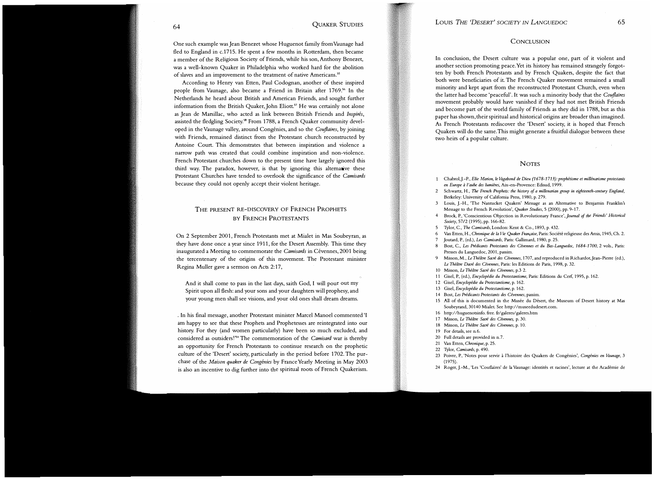One such example was Jean Benezet whose Huguenot family from Vaunage had fled to England in c.1715. He spent a few months in Rotterdam, then became a member of the Religious Society of Friends, while his son, Anthony Benezet, was a well-known Quaker in Philadelphia who worked hard for the abolition of slaves and an improvement to the treatment of native Americans.<sup>55</sup>

According to Henry van Etten, Paul Codognan, another of these inspired people from Vaunage, also became a Friend in Britain after 1769.<sup>56</sup> In the Netherlands he heard about British and American Friends, and sought further information from the British Quaker, John Eliott.<sup>57</sup> He was certainly not alone as Jean de Marsillac, who acted as link between British Friends and Inspirés, assisted the fledgling Society.<sup>58</sup> From 1788, a French Quaker community developed in the Vaunage valley, around Congénies, and so the Couflaires, by joining with Friends, remained distinct from the Protestant church reconstructed by Antoine Court. This demonstrates that between inspiration and violence a narrow path was created that could combine inspiration and non-violence. French Protestant churches down to the present time have largely ignored this third way. The paradox, however, is that by ignoring this alternative these Protestant Churches have tended to overlook the significance of the Camisards because they could not openly accept their violent heritage.

## THE PRESENT RE-DISCOVERY OF FRENCH PROPHETS BY FRENCH PROTESTANTS

On 2 September 2001, French Protestants met at Mialet in Mas Soubey ran, as they have done once a year since 1911, for the Desert Assembly. This time they inaugurated a Meeting to commemorate the Camisards in Cévennes, 2001 being the tercentenary of the origins of this movement. The Protestant minister Regina Muller gave a sermon on Acts 2:17,

And it shall come to pass in the last days, saith God, I will pour out my Spirit upon all flesh: and your sons and your daughters will prophesy, and your young men shall see visions, and your old ones shall dream dreams.

. In his final message, another Protestant minister Marcel Manoel commented 'I am happy to see that these Prophets and Prophetesses are reintegrated into our history. For they (and women particularly) have been so much excluded, and considered as outsiders!'59 The commemoration of the Camisard war is thereby an opportunity for French Protestants to continue research on the prophetic culture of the 'Desert' society, particularly in the period before 1702. The purchase of the Maison quaker de Congénies by France Yearly Meeting in May 2003 is also an incentive to dig further into the spiritual roots of French Quakerism.

#### **CONCLUSION**

In conclusion, the Desert culture was a popular one, part of it violent and another section promoting peace. Yet its history has remained strangely forgotten by both French Protestants and by French Quakers, despite the fact that both were beneficiaries of it. The French Quaker movement remained a small minority and kept apart from the reconstructed Protestant Church, even when the latter had become 'peaceful'. It was such a minority body that the Couflaïres movement probably would have vanished if they had not met British Friends and become part of the world family of Friends as they did in 1788, but as this paper has shown, their spiritual and historical origins are broader than imagined. As French Protestants rediscover the 'Desert' society, it is hoped that French Quakers will do the same. This might generate a fruitful dialogue between these two heirs of a popular culture.

#### **NOTES**

- 1 Chabrol, J.-P., Elie Marion, le Vagabond de Dieu (1678-1713): prophétisme et millénarisme protestants en Europe à l'aube des lumiéres, Aix-en-Provence: Edisud, 1999.
- 2 Schwartz, H., The French Prophets: the history of a millenarian group in eighteenth-century England, Berkeley: University of California Press, 1980, p. 279.
- 3 Louis, J.-H., 'The Nantucket Quakers' Message as an Alternative to Benjamin Franklin's Message to the French Revolution', Quaker Studies, 5 (2000), pp. 9-17.
- 4 Brock, P., 'Conscientious Objection in Revolutionary France', Journal of the Friends' Historical Society, 5712 (1995), pp. 166-82.
- 5 Tylor, C., The Camisards, London: Kent & Co., 1893, p. 432.
- 6 Van Etten, H., *Chronique de la Vie Quaker Française*, Paris: Société religieuse des Amis, 1945, Ch. 2.
- 7 Joutard, P., (ed.), Les Camisards, Paris: Gallimard, 1980, p. 25.
- 8 Bost, C., Les Predicants Protestants des Cevennes et du Bas-Languedoc, 1684-1700, 2 vols., Paris: Presses du Languedoc, 2001, passim.
- 9 Misson, M., *Le Théâtre Sacré des Cévennes*, 1707, and reproduced in Richardot, Jean-Pierre (ed.), Le Théâtre Dacré des Cévennes, Paris: les Editions de Paris, 1998, p. 32.
- 10 Misson, Le Théâtre Sacré des Cévennes, p.3 2.
- 11 Gisel, P., (ed.), Encyclopédie du Protestantisme, Paris: Editions du Cerf, 1995, p. 162.
- 12 Gisel, Encyclopédie du Protestantisme, p. 162.
- 13 Gisel, Encyclopédie du Protestantisme, p. 162.
- 14 Bost, Les Prédicants Protestants des Cévennes, passim.
- 15 All of this is documented in the Musée du Désert, the Museum of Desert history at Mas Soubeyrand, 30140 Mialet. See http:/ /museedudesert.com .
- 16 http:/ /huguenotsinfo. free. fr/galeres/galeres.htm
- 17 Misson, Le Théâtre Sacré des Cévennes, p. 30.
- 18 Misson, Le Théâtre Sacré des Cévennes, p. 10.
- 19 For details, see n.6.
- 20 Full details are provided in n.7.
- 21 Van Etten, Chronique, p. 25.
- 22 Tylor, Camisards, p. 490.
- 23 Poivre, P., 'Notes pour servir à l'histoire des Quakers de Congénies', Congénies en Vaunage, 3 (1975).
- 24 Roger, J.-M., 'Les 'Couflaïres' de la Vaunage: identités et racines', lecture at the Académie de